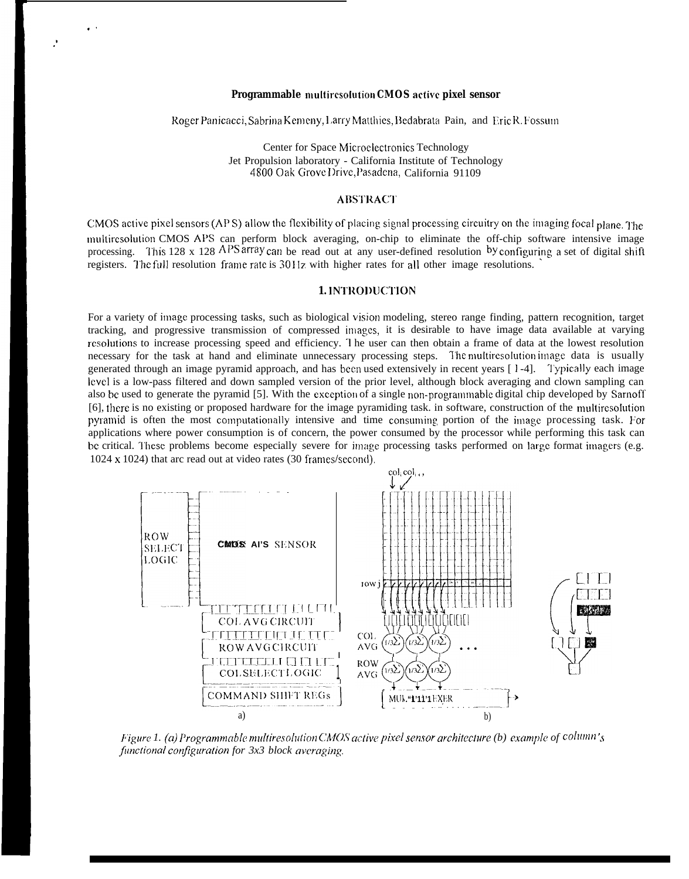## Programmable multiresolution CMOS active pixel sensor

Roger Panicacci, Sabrina Kemeny, Larry Matthies, Bedabrata Pain, and Eric R. Fossum

Center for Space Microelectronics Technology Jet Propulsion laboratory - California Institute of Technology 4800 Oak Grove Drive, Pasadena, California 91109

## **ABSTRACT**

CMOS active pixel sensors (APS) allow the flexibility of placing signal processing circuitry on the imaging focal plane. The multiresolution CMOS APS can perform block averaging, on-chip to eliminate the off-chip software intensive image processing. This 128 x 128 APS array can be read out at any user-defined resolution by configuring a set of digital shift registers. The full resolution frame rate is 30 Hz with higher rates for all other image resolutions.

# 1. INTRODUCTION

For a variety of image processing tasks, such as biological vision modeling, stereo range finding, pattern recognition, target tracking, and progressive transmission of compressed images, it is desirable to have image data available at varying resolutions to increase processing speed and efficiency. The user can then obtain a frame of data at the lowest resolution necessary for the task at hand and eliminate unnecessary processing steps. The multiresolution image data is usually generated through an image pyramid approach, and has been used extensively in recent years [1-4]. Typically each image level is a low-pass filtered and down sampled version of the prior level, although block averaging and clown sampling can also be used to generate the pyramid [5]. With the exception of a single non-programmable digital chip developed by Sarnoff [6], there is no existing or proposed hardware for the image pyramiding task, in software, construction of the multiresolution pyramid is often the most computationally intensive and time consuming portion of the image processing task. For applications where power consumption is of concern, the power consumed by the processor while performing this task can be critical. These problems become especially severe for image processing tasks performed on large format imagers (e.g. 1024 x 1024) that arc read out at video rates (30 frames/second).



Figure 1. (a) Programmable multiresolution CMOS active pixel sensor architecture (b) example of  $\text{column's}$ functional configuration for 3x3 block averaging.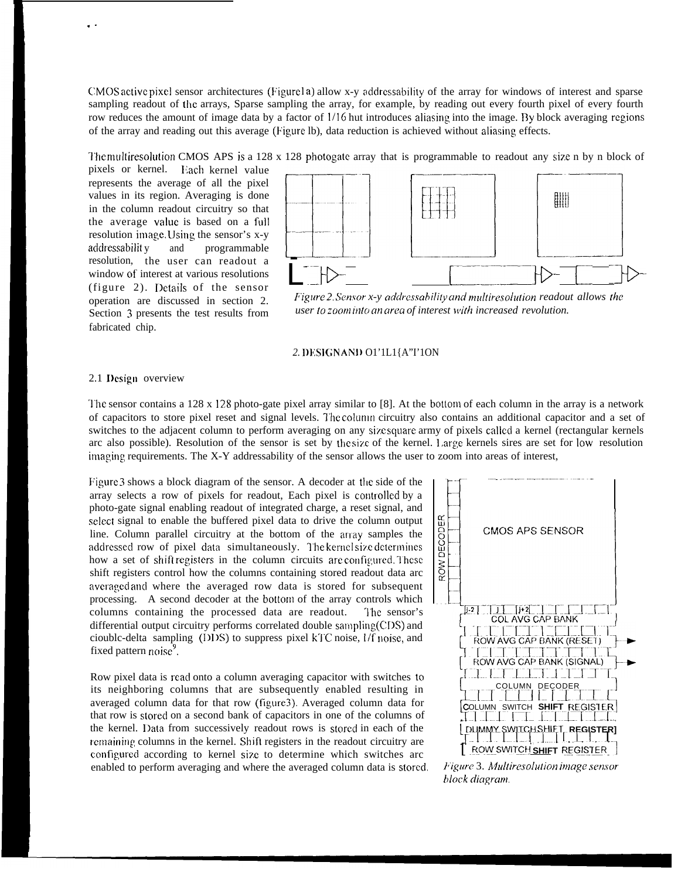CMOS active pixel sensor architectures (Figure1a) allow x-y addressability of the array for windows of interest and sparse sampling readout of the arrays, Sparse sampling the array, for example, by reading out every fourth pixel of every fourth row reduces the amount of image data by a factor of 1/16 hut introduces aliasing into the image. By block averaging regions of the array and reading out this average (Figure Ib), data reduction is achieved without aliasing effects.

The multiresolution CMOS APS is a 128 x 128 photogate array that is programmable to readout any size n by n block of

pixels or kernel. Each kernel value represents the average of all the pixel values in its region. Averaging is done in the column readout circuitry so that the average value is based on a full resolution image. Using the sensor's x-y addressability and programmable resolution, the user can readout a window of interest at various resolutions (figure 2). Details of the sensor operation are discussed in section 2. Section 3 presents the test results from fabricated chip.



Figure 2 Sensor x-y addressability and multiresolution readout allows the user to zoom into an area of interest with increased revolution.

#### 2. DESIGNAND O1'1L1{A"I'1ON

## 2.1 Design overview

The sensor contains a  $128 \times 128$  photo-gate pixel array similar to [8]. At the bottom of each column in the array is a network of capacitors to store pixel reset and signal levels. The column circuitry also contains an additional capacitor and a set of switches to the adjacent column to perform averaging on any size square army of pixels called a kernel (rectangular kernels arc also possible). Resolution of the sensor is set by the size of the kernel. Large kernels sires are set for low resolution imaging requirements. The X-Y addressability of the sensor allows the user to zoom into areas of interest,

Figure 3 shows a block diagram of the sensor. A decoder at the side of the array selects a row of pixels for readout, Each pixel is controlled by a photo-gate signal enabling readout of integrated charge, a reset signal, and select signal to enable the buffered pixel data to drive the column output line. Column parallel circuitry at the bottom of the array samples the addressed row of pixel data simultaneously. The kernel size determines how a set of shift registers in the column circuits are configured. These shift registers control how the columns containing stored readout data arc averaged and where the averaged row data is stored for subsequent processing. A second decoder at the bottom of the array controls which columns containing the processed data are readout. The sensor's differential output circuitry performs correlated double sampling(CDS) and cioublc-delta sampling (DDS) to suppress pixel kTC noise, l/f noise, and fixed pattern noise<sup>9</sup>.

Row pixel data is read onto a column averaging capacitor with switches to its neighboring columns that are subsequently enabled resulting in averaged column data for that row (figure). Averaged column data for that row is stored on a second bank of capacitors in one of the columns of the kernel. Data from successively readout rows is stored in each of the remaining columns in the kernel. Shift registers in the readout circuitry are configured according to kernel size to determine which switches arc enabled to perform averaging and where the averaged column data is stored.



Figure 3. Multiresolution image sensor block diagram.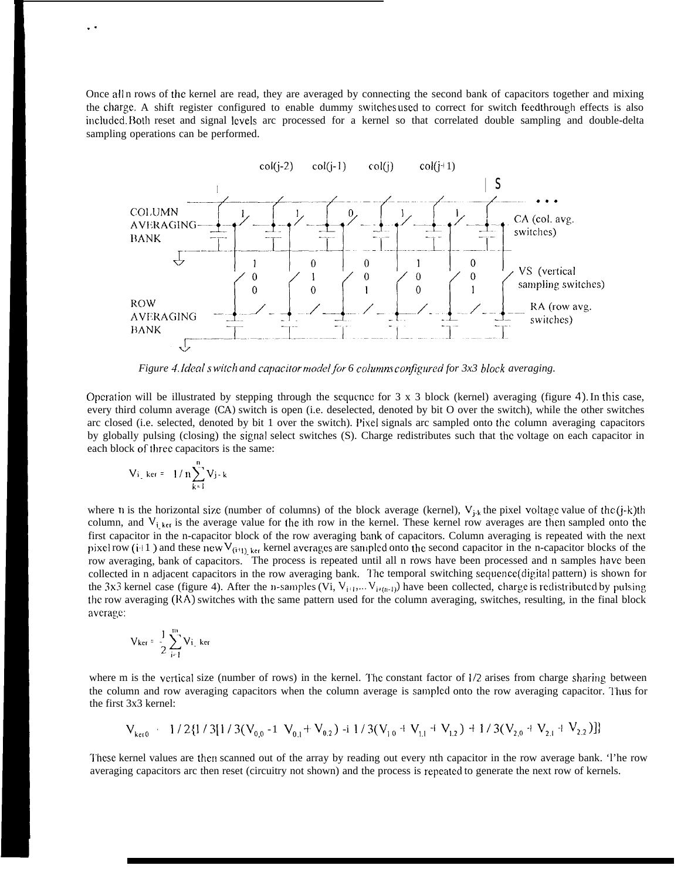Once all n rows of the kernel are read, they are averaged by connecting the second bank of capacitors together and mixing the charge. A shift register configured to enable dummy switches used to correct for switch feedthrough effects is also included. Both reset and signal levels arc processed for a kernel so that correlated double sampling and double-delta sampling operations can be performed.



*Figure 4. Ideal switch and capacitor model for 6 columns configured for 3x3 block averaging.* 

Operation will be illustrated by stepping through the sequence for  $3 \times 3$  block (kernel) averaging (figure 4). In this case, every third column average (CA) switch is open (i.e. deselected, denoted by bit O over the switch), while the other switches arc closed (i.e. selected, denoted by bit 1 over the switch). Pixel signals arc sampled onto the column averaging capacitors by globally pulsing (closing) the signal select switches (S). Charge redistributes such that the voltage on each capacitor in each block of three capacitors is the same:

$$
V_{i_{-}} \text{ker} = -1/n \sum_{k=1}^{n} V_{j-k}
$$

. .

where n is the horizontal size (number of columns) of the block average (kernel),  $V_{j,k}$  the pixel voltage value of the (j-k)th column, and  $V_{i, krt}$  is the average value for the ith row in the kernel. These kernel row averages are then sampled onto the first capacitor in the n-capacitor block of the row averaging bank of capacitors. Column averaging is repeated with the next pixel row (i+1) and these new V<sub>(i+1)</sub>, ket kernel averages are sampled onto the second capacitor in the n-capacitor blocks of the row averaging, bank of capacitors. The process is repeated until all n rows have been processed and n samples have been collected in n adjacent capacitors in the row averaging bank. The temporal switching sequence(digital pattern) is shown for the 3x3 kernel case (figure 4). After the n-samples (Vi,  $V_{i+1},...,V_{i+(n-1)}$ ) have been collected, charge is redistributed by pulsing the row averaging  $(RA)$  switches with the same pattern used for the column averaging, switches, resulting, in the final block average:

$$
V_{\text{ker}} = \frac{1}{2} \sum_{i=1}^{m} V_{i} \log_{1} \ker
$$

where m is the vertical size (number of rows) in the kernel. The constant factor of  $1/2$  arises from charge sharing between the column and row averaging capacitors when the column average is samplecl onto the row averaging capacitor. l'hus for the first 3x3 kernel:

$$
V_{\text{ker }0} = 1/2\{1/3[1/3(V_{0,0}-1-V_{0,1}+V_{0,2})-i1/3(V_{1,0}+V_{1,1}+V_{1,2})+1/3(V_{2,0}+V_{2,1}+V_{2,2})]\}
$$

These kernel values are then scanned out of the array by reading out every nth capacitor in the row average bank. 'l'he row averaging capacitors arc then reset (circuitry not shown) and the process is repeated to generate the next row of kernels.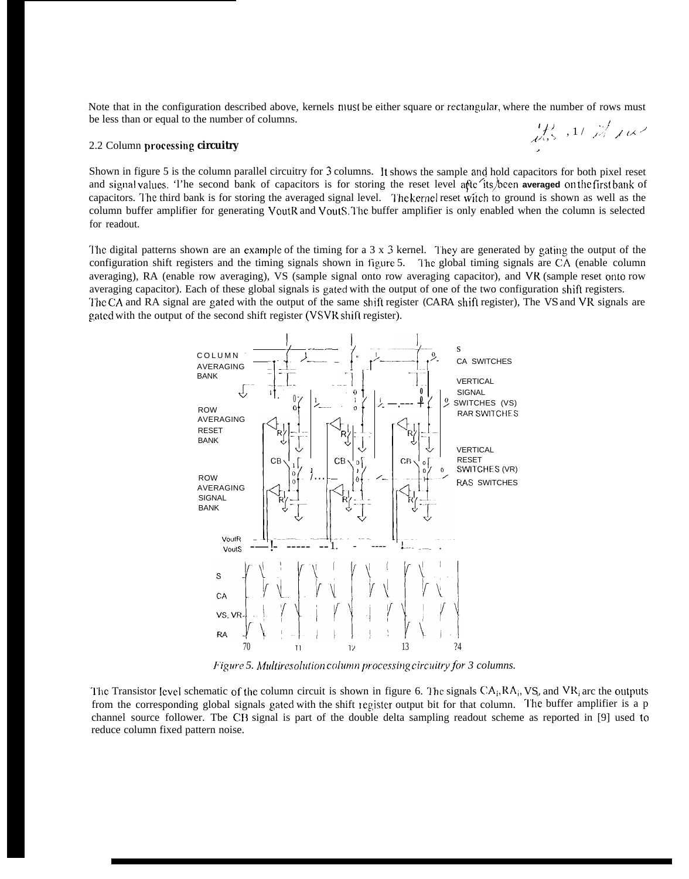Note that in the configuration described above, kernels must be either square or rectangular, where the number of rows must be less than or equal to the number of columns.  $\mathcal{L}$  ,  $\mathcal{L}$  ,  $\mathcal{L}$ 

#### 2.2 Column processing circuitry

Shown in figure 5 is the column parallel circuitry for 3 columns. It shows the sample and hold capacitors for both pixel reset and signal values. The second bank of capacitors is for storing the reset level afte its been averaged on the first bank of capacitors. The third bank is for storing the averaged signal level. The kernel reset witch to ground is shown as well as the column buffer amplifier for generating VoutR and VoutS. The buffer amplifier is only enabled when the column is selected for readout.

The digital patterns shown are an example of the timing for a 3 x 3 kernel. They are generated by gating the output of the configuration shift registers and the timing signals shown in figure 5. The global timing signals are CA (enable column averaging), RA (enable row averaging), VS (sample signal onto row averaging capacitor), and VR (sample reset onto row averaging capacitor). Each of these global signals is gated with the output of one of the two configuration shift registers. The CA and RA signal are gated with the output of the same shift register (CARA shift register), The VS and VR signals are gated with the output of the second shift register (VSVR shift register).



Figure 5. Multiresolution column processing circuitry for 3 columns.

The Transistor level schematic of the column circuit is shown in figure 6. The signals  $CA_i, RA_i, VS_p$  and  $VR_i$  are the outputs from the corresponding global signals gated with the shift register output bit for that column. The buffer amplifier is a p channel source follower. The CB signal is part of the double delta sampling readout scheme as reported in [9] used to reduce column fixed pattern noise.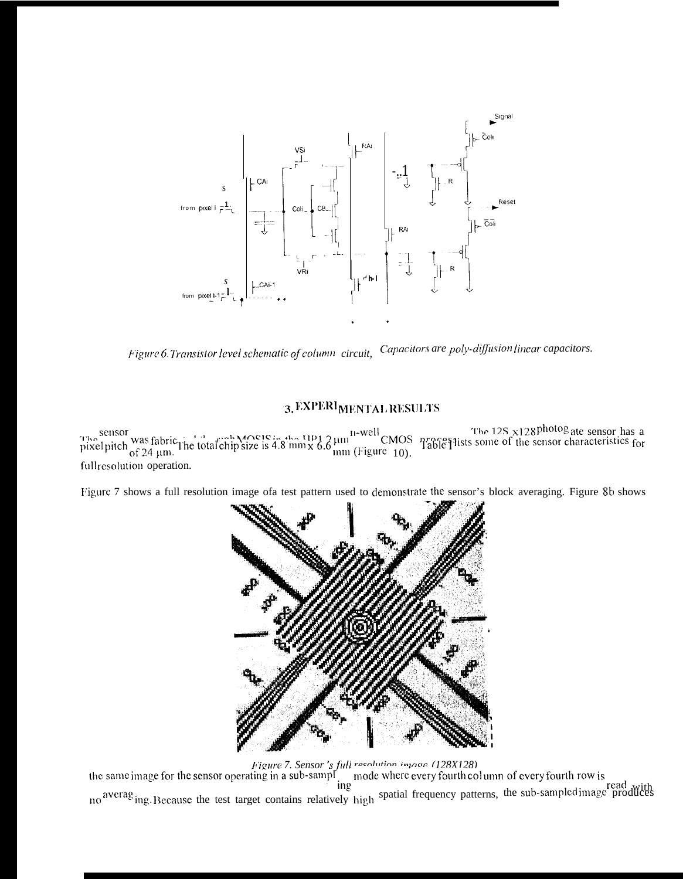

Capacitors are poly-diffusion linear capacitors. Figure 6. Transistor level schematic of column circuit,

# 3. EXPERIMENTAL RESULTS

sensor<br>pixel pixel was fabric the total chip size is 4.8 mm x 6.6 mm (Figure 10).<br>Fabre 1913 some of the sensor characteristics for<br> $\frac{1}{2}$  and  $\frac{1}{2}$  and  $\frac{1}{2}$  and  $\frac{1}{2}$  cMOS  $\frac{1}{2}$  and  $\frac{1}{2}$  and  $\frac{$ full resolution operation.

Figure 7 shows a full resolution image of atest pattern used to demonstrate the sensor's block averaging. Figure 8b shows



Figure 7. Sensor's full resolution image (128X128)<br>the same image for the sensor operating in a sub-sample mode where every fourth column of every fourth row is mg.<br>no averaging. Because the test target contains relatively high spatial frequency patterns, the sub-sampled image produces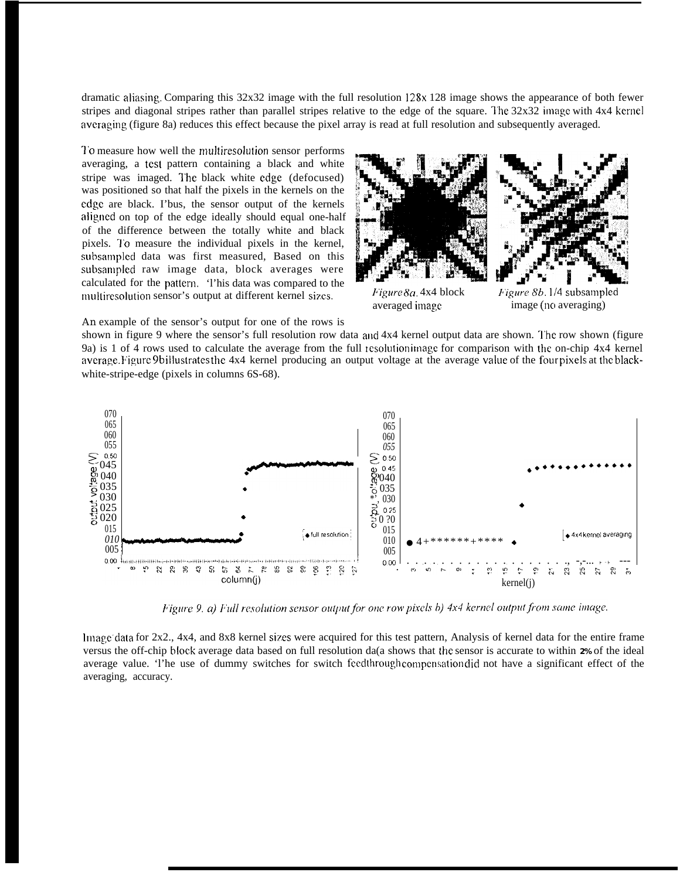dramatic aliasing. Comparing this 32x32 image with the full resolution 128x 128 image shows the appearance of both fewer stripes and diagonal stripes rather than parallel stripes relative to the edge of the square. The  $32x32$  image with  $4x4$  kernel averaging (figure 8a) reduces this effect because the pixel array is read at full resolution and subsequently averaged.

'1'o measure how well the multiresolution sensor performs averaging, a test pattern containing a black and white stripe was imaged. I'he black white edge (defocused) was positioned so that half the pixels in the kernels on the edge are black. I'bus, the sensor output of the kernels aligned on top of the edge ideally should equal one-half of the difference between the totally white and black pixels. To measure the individual pixels in the kernel, subsampled data was first measured, Based on this suhsampled raw image data, block averages were calculated for the pattern. 'l'his data was compared to the multiresolution sensor's output at different kernel sizes.



averaged image

*J'igure 8b. 1/4* subsampled image (no averaging)

An example of the sensor's output for one of the rows is

shown in figure 9 where the sensor's full resolution row data and 4x4 kernel output data are shown. 'l'he row shown (figure 9a) is 1 of 4 rows used to calculate the average from the full resolution image for comparison with the on-chip  $4x4$  kernel average. Figure 9b illustrates the 4x4 kernel producing an output voltage at the average value of the four pixels at the blackwhite-stripe-edge (pixels in columns 6S-68).



Figure 9, a) Full resolution sensor output for one row pixels b) 4x4 kernel output from same image.

Image data for 2x2., 4x4, and 8x8 kernel sizes were acquired for this test pattern, Analysis of kernel data for the entire frame versus the off-chip block average data based on full resolution da(a shows that t}le sensor is accurate to within **2%** of the ideal average value. 'l'he use of dummy switches for switch feedthrough compensation did not have a significant effect of the averaging, accuracy.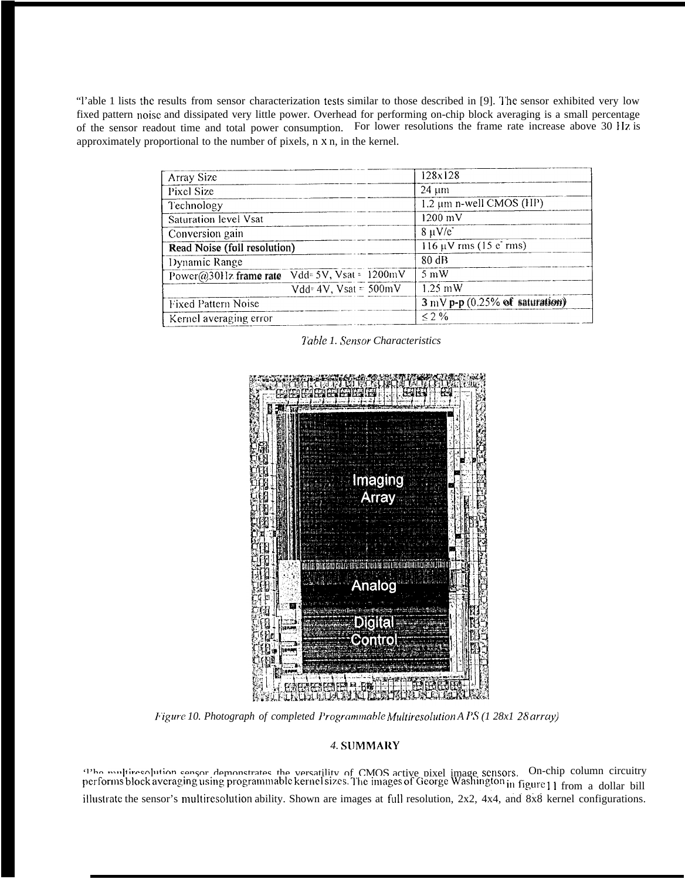"l'able 1 lists the results from sensor characterization tests similar to those described in [9]. The sensor exhibited very low fixed pattern noise and dissipated very little power. Overhead for performing on-chip block averaging is a small percentage of the sensor readout time and total power consumption. For lower resolutions the frame rate increase above 30 Hz is approximately proportional to the number of pixels, n x n, in the kernel.

| Array Size                                       | 128x128                                     |
|--------------------------------------------------|---------------------------------------------|
| Pixel Size                                       | $24 \mu m$                                  |
| Technology                                       | 1.2 μm n-well CMOS (HP)                     |
| Saturation level Vsat                            | 1200 mV                                     |
| Conversion gain                                  | $8 \mu V/e$                                 |
| Read Noise (foll resolution)                     | $116 \mu V$ rms (15 e rms)                  |
| Dynamic Range                                    | 80dB                                        |
| Power@30Hz frame rate $Vdd = 5V$ , Vsat = 1200mV | $5 \text{ mW}$                              |
| $Vdd = 4V$ , $V sat = 500mV$                     | $1.25 \text{ mW}$                           |
| <b>Fixed Pattern Noise</b>                       | $3 \,\mathrm{mV}$ p-p (0.25% of saturation) |
| Kernel averaging error                           | $<$ 2 %                                     |

Table 1. Sensor Characteristics



Figure 10. Photograph of completed Programmable Multiresolution A PS (1 28x1 28 array)

# 4. SUMMARY

The multipeodution sensor demonstrates the versatility of CMOS active pixel image sensors. On-chip column circuitry performs block averaging using programmable kernel sizes. The images of George Washington in figure 11 fro illustrate the sensor's multiresolution ability. Shown are images at full resolution, 2x2, 4x4, and 8x8 kernel configurations.